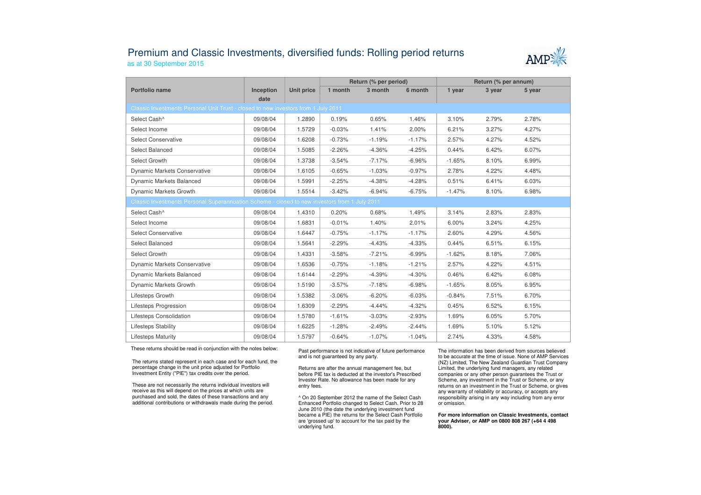## Premium and Classic Investments, diversified funds: Rolling period returnsas at 30 September 2015



|                                                                                               |                   |                   | Return (% per period) |          |          | Return (% per annum) |        |        |  |  |
|-----------------------------------------------------------------------------------------------|-------------------|-------------------|-----------------------|----------|----------|----------------------|--------|--------|--|--|
| Portfolio name                                                                                | Inception<br>date | <b>Unit price</b> | 1 month               | 3 month  | 6 month  | 1 year               | 3 year | 5 year |  |  |
| Classic Investments Personal Unit Trust - closed to new investors from 1 July 2011            |                   |                   |                       |          |          |                      |        |        |  |  |
| Select Cash^                                                                                  | 09/08/04          | 1.2890            | 0.19%                 | 0.65%    | 1.46%    | 3.10%                | 2.79%  | 2.78%  |  |  |
| Select Income                                                                                 | 09/08/04          | 1.5729            | $-0.03%$              | 1.41%    | 2.00%    | 6.21%                | 3.27%  | 4.27%  |  |  |
| <b>Select Conservative</b>                                                                    | 09/08/04          | 1.6208            | $-0.73%$              | $-1.19%$ | $-1.17%$ | 2.57%                | 4.27%  | 4.52%  |  |  |
| Select Balanced                                                                               | 09/08/04          | 1.5085            | $-2.26%$              | $-4.36%$ | $-4.25%$ | 0.44%                | 6.42%  | 6.07%  |  |  |
| Select Growth                                                                                 | 09/08/04          | 1.3738            | $-3.54%$              | $-7.17%$ | $-6.96%$ | $-1.65%$             | 8.10%  | 6.99%  |  |  |
| <b>Dynamic Markets Conservative</b>                                                           | 09/08/04          | 1.6105            | $-0.65%$              | $-1.03%$ | $-0.97%$ | 2.78%                | 4.22%  | 4.48%  |  |  |
| <b>Dynamic Markets Balanced</b>                                                               | 09/08/04          | 1.5991            | $-2.25%$              | $-4.38%$ | $-4.28%$ | 0.51%                | 6.41%  | 6.03%  |  |  |
| Dynamic Markets Growth                                                                        | 09/08/04          | 1.5514            | $-3.42%$              | $-6.94%$ | $-6.75%$ | $-1.47%$             | 8.10%  | 6.98%  |  |  |
| Classic Investments Personal Superannuation Scheme - closed to new investors from 1 July 2011 |                   |                   |                       |          |          |                      |        |        |  |  |
| Select Cash^                                                                                  | 09/08/04          | 1.4310            | 0.20%                 | 0.68%    | 1.49%    | 3.14%                | 2.83%  | 2.83%  |  |  |
| Select Income                                                                                 | 09/08/04          | 1.6831            | $-0.01%$              | 1.40%    | 2.01%    | 6.00%                | 3.24%  | 4.25%  |  |  |
| <b>Select Conservative</b>                                                                    | 09/08/04          | 1.6447            | $-0.75%$              | $-1.17%$ | $-1.17%$ | 2.60%                | 4.29%  | 4.56%  |  |  |
| Select Balanced                                                                               | 09/08/04          | 1.5641            | $-2.29%$              | $-4.43%$ | $-4.33%$ | 0.44%                | 6.51%  | 6.15%  |  |  |
| Select Growth                                                                                 | 09/08/04          | 1.4331            | $-3.58%$              | $-7.21%$ | $-6.99%$ | $-1.62%$             | 8.18%  | 7.06%  |  |  |
| <b>Dynamic Markets Conservative</b>                                                           | 09/08/04          | 1.6536            | $-0.75%$              | $-1.18%$ | $-1.21%$ | 2.57%                | 4.22%  | 4.51%  |  |  |
| Dynamic Markets Balanced                                                                      | 09/08/04          | 1.6144            | $-2.29%$              | $-4.39%$ | $-4.30%$ | 0.46%                | 6.42%  | 6.08%  |  |  |
| Dynamic Markets Growth                                                                        | 09/08/04          | 1.5190            | $-3.57%$              | $-7.18%$ | $-6.98%$ | $-1.65%$             | 8.05%  | 6.95%  |  |  |
| Lifesteps Growth                                                                              | 09/08/04          | 1.5382            | $-3.06%$              | $-6.20%$ | $-6.03%$ | $-0.84%$             | 7.51%  | 6.70%  |  |  |
| Lifesteps Progression                                                                         | 09/08/04          | 1.6309            | $-2.29%$              | $-4.44%$ | $-4.32%$ | 0.45%                | 6.52%  | 6.15%  |  |  |
| Lifesteps Consolidation                                                                       | 09/08/04          | 1.5780            | $-1.61%$              | $-3.03%$ | $-2.93%$ | 1.69%                | 6.05%  | 5.70%  |  |  |
| Lifesteps Stability                                                                           | 09/08/04          | 1.6225            | $-1.28%$              | $-2.49%$ | $-2.44%$ | 1.69%                | 5.10%  | 5.12%  |  |  |
| <b>Lifesteps Maturity</b>                                                                     | 09/08/04          | 1.5797            | $-0.64%$              | $-1.07%$ | $-1.04%$ | 2.74%                | 4.33%  | 4.58%  |  |  |

These returns should be read in conjunction with the notes below:

The returns stated represent in each case and for each fund, the percentage change in the unit price adjusted for Portfolio Investment Entity ("PIE") tax credits over the period.

These are not necessarily the returns individual investors will receive as this will depend on the prices at which units are purchased and sold, the dates of these transactions and any additional contributions or withdrawals made during the period. Past performance is not indicative of future performance and is not guaranteed by any party.

Returns are after the annual management fee, but before PIE tax is deducted at the investor's Prescribed Investor Rate. No allowance has been made for any entry fees.

^ On 20 September 2012 the name of the Select Cash Enhanced Portfolio changed to Select Cash. Prior to 28 June 2010 (the date the underlying investment fund became a PIE) the returns for the Select Cash Portfolio are 'grossed up' to account for the tax paid by theunderlying fund.

The information has been derived from sources believed to be accurate at the time of issue. None of AMP Services (NZ) Limited, The New Zealand Guardian Trust Company Limited, the underlying fund managers, any related companies or any other person guarantees the Trust or Scheme, any investment in the Trust or Scheme, or any returns on an investment in the Trust or Scheme, or gives any warranty of reliability or accuracy, or accepts any responsibility arising in any way including from any error or omission.

**For more information on Classic Investments, contact your Adviser, or AMP on 0800 808 267 (+64 4 498 8000).**